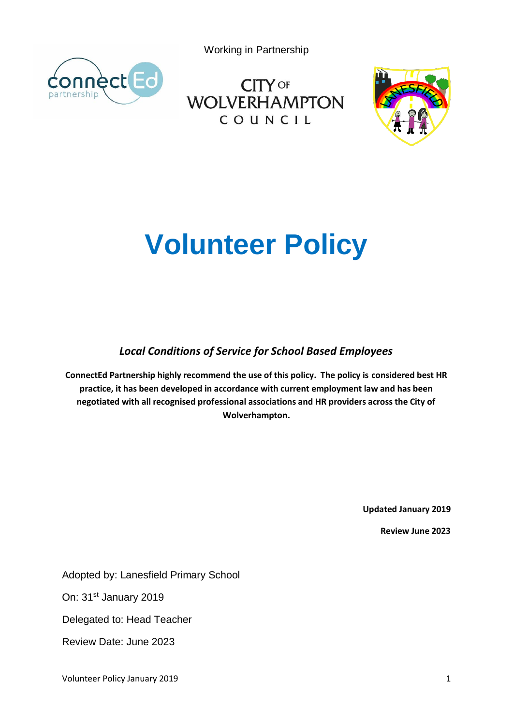Working in Partnership



**CITY OF WOLVERHAMPTON** COUNCIL



# **Volunteer Policy**

*Local Conditions of Service for School Based Employees*

**ConnectEd Partnership highly recommend the use of this policy. The policy is considered best HR practice, it has been developed in accordance with current employment law and has been negotiated with all recognised professional associations and HR providers across the City of Wolverhampton.**

**Updated January 2019**

**Review June 2023**

Adopted by: Lanesfield Primary School

On: 31<sup>st</sup> January 2019

Delegated to: Head Teacher

Review Date: June 2023

Volunteer Policy January 2019 1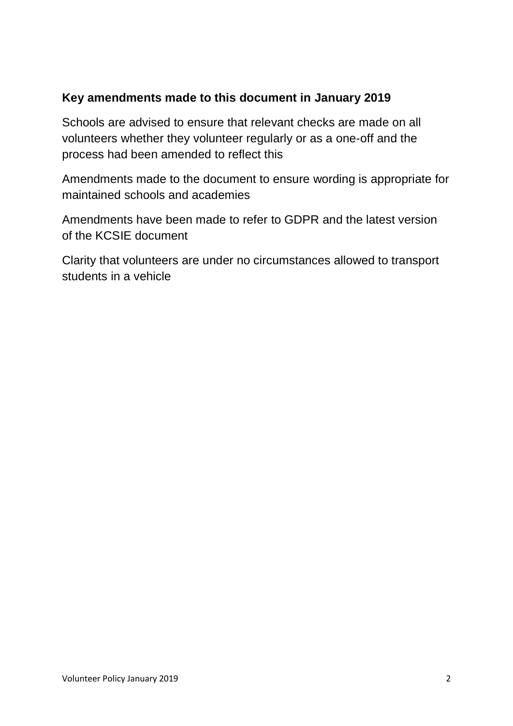# **Key amendments made to this document in January 2019**

Schools are advised to ensure that relevant checks are made on all volunteers whether they volunteer regularly or as a one-off and the process had been amended to reflect this

Amendments made to the document to ensure wording is appropriate for maintained schools and academies

Amendments have been made to refer to GDPR and the latest version of the KCSIE document

Clarity that volunteers are under no circumstances allowed to transport students in a vehicle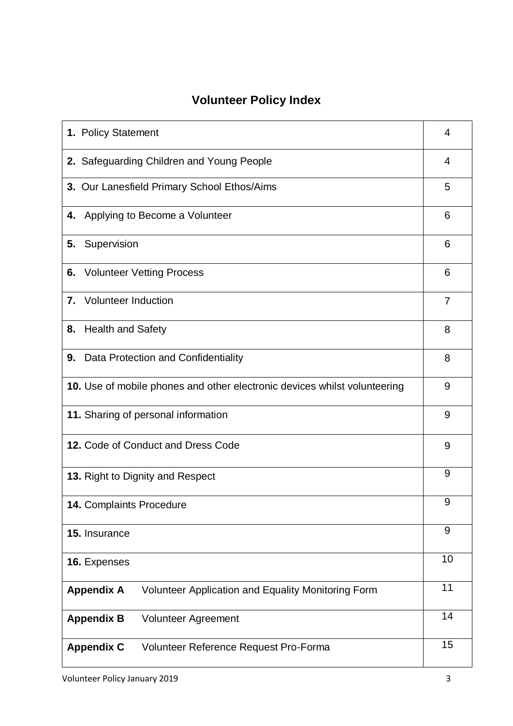# **Volunteer Policy Index**

| 1. Policy Statement                                                       | 4              |
|---------------------------------------------------------------------------|----------------|
| 2. Safeguarding Children and Young People                                 | 4              |
| 3. Our Lanesfield Primary School Ethos/Aims                               | 5              |
| Applying to Become a Volunteer<br>4.                                      | 6              |
| Supervision<br>5.                                                         | 6              |
| <b>6.</b> Volunteer Vetting Process                                       | 6              |
| 7. Volunteer Induction                                                    | $\overline{7}$ |
| 8. Health and Safety                                                      | 8              |
| 9. Data Protection and Confidentiality                                    | 8              |
| 10. Use of mobile phones and other electronic devices whilst volunteering | 9              |
| 11. Sharing of personal information                                       | 9              |
| 12. Code of Conduct and Dress Code                                        | 9              |
| 13. Right to Dignity and Respect                                          | 9              |
| 14. Complaints Procedure                                                  | 9              |
| 15. Insurance                                                             | 9              |
| 16. Expenses                                                              | 10             |
| <b>Appendix A</b><br>Volunteer Application and Equality Monitoring Form   | 11             |
| <b>Appendix B</b><br><b>Volunteer Agreement</b>                           | 14             |
| <b>Appendix C</b><br>Volunteer Reference Request Pro-Forma                | 15             |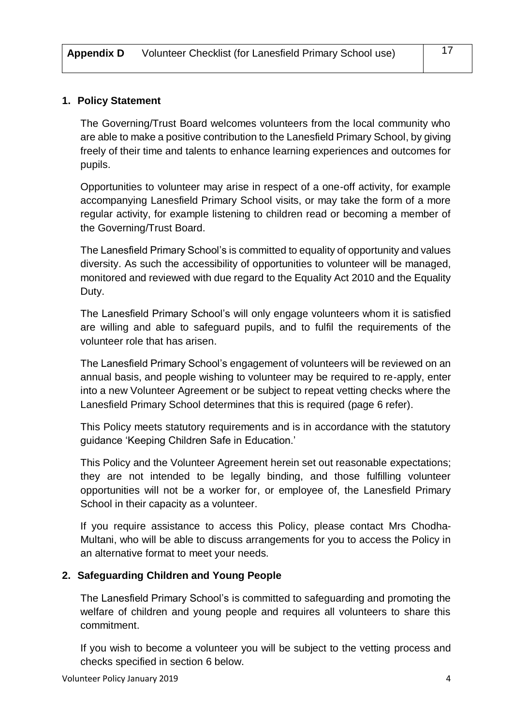# **1. Policy Statement**

The Governing/Trust Board welcomes volunteers from the local community who are able to make a positive contribution to the Lanesfield Primary School, by giving freely of their time and talents to enhance learning experiences and outcomes for pupils.

Opportunities to volunteer may arise in respect of a one-off activity, for example accompanying Lanesfield Primary School visits, or may take the form of a more regular activity, for example listening to children read or becoming a member of the Governing/Trust Board.

The Lanesfield Primary School's is committed to equality of opportunity and values diversity. As such the accessibility of opportunities to volunteer will be managed, monitored and reviewed with due regard to the Equality Act 2010 and the Equality Duty.

The Lanesfield Primary School's will only engage volunteers whom it is satisfied are willing and able to safeguard pupils, and to fulfil the requirements of the volunteer role that has arisen.

The Lanesfield Primary School's engagement of volunteers will be reviewed on an annual basis, and people wishing to volunteer may be required to re-apply, enter into a new Volunteer Agreement or be subject to repeat vetting checks where the Lanesfield Primary School determines that this is required (page 6 refer).

This Policy meets statutory requirements and is in accordance with the statutory guidance 'Keeping Children Safe in Education.'

This Policy and the Volunteer Agreement herein set out reasonable expectations; they are not intended to be legally binding, and those fulfilling volunteer opportunities will not be a worker for, or employee of, the Lanesfield Primary School in their capacity as a volunteer.

If you require assistance to access this Policy, please contact Mrs Chodha-Multani, who will be able to discuss arrangements for you to access the Policy in an alternative format to meet your needs.

## **2. Safeguarding Children and Young People**

The Lanesfield Primary School's is committed to safeguarding and promoting the welfare of children and young people and requires all volunteers to share this commitment.

If you wish to become a volunteer you will be subject to the vetting process and checks specified in section 6 below.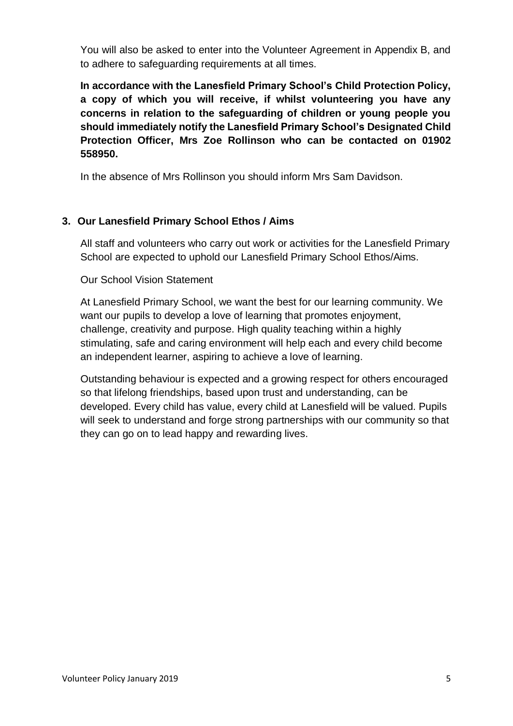You will also be asked to enter into the Volunteer Agreement in Appendix B, and to adhere to safeguarding requirements at all times.

**In accordance with the Lanesfield Primary School's Child Protection Policy, a copy of which you will receive, if whilst volunteering you have any concerns in relation to the safeguarding of children or young people you should immediately notify the Lanesfield Primary School's Designated Child Protection Officer, Mrs Zoe Rollinson who can be contacted on 01902 558950.**

In the absence of Mrs Rollinson you should inform Mrs Sam Davidson.

# **3. Our Lanesfield Primary School Ethos / Aims**

All staff and volunteers who carry out work or activities for the Lanesfield Primary School are expected to uphold our Lanesfield Primary School Ethos/Aims.

# Our School Vision Statement

At Lanesfield Primary School, we want the best for our learning community. We want our pupils to develop a love of learning that promotes enjoyment, challenge, creativity and purpose. High quality teaching within a highly stimulating, safe and caring environment will help each and every child become an independent learner, aspiring to achieve a love of learning.

Outstanding behaviour is expected and a growing respect for others encouraged so that lifelong friendships, based upon trust and understanding, can be developed. Every child has value, every child at Lanesfield will be valued. Pupils will seek to understand and forge strong partnerships with our community so that they can go on to lead happy and rewarding lives.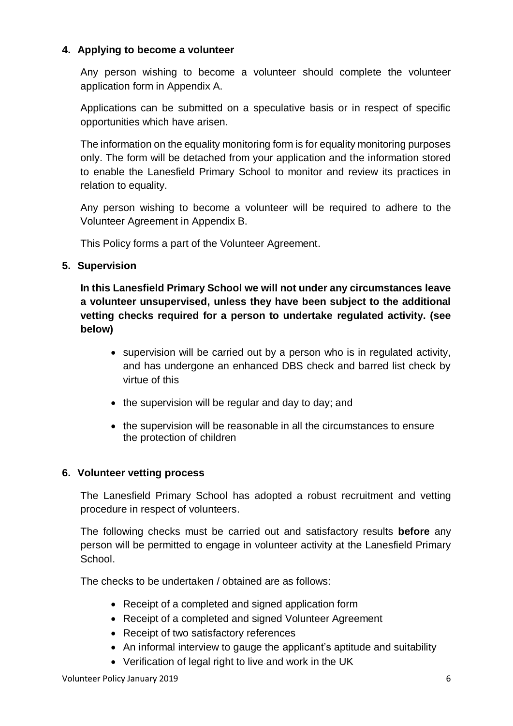# **4. Applying to become a volunteer**

Any person wishing to become a volunteer should complete the volunteer application form in Appendix A.

Applications can be submitted on a speculative basis or in respect of specific opportunities which have arisen.

The information on the equality monitoring form is for equality monitoring purposes only. The form will be detached from your application and the information stored to enable the Lanesfield Primary School to monitor and review its practices in relation to equality.

Any person wishing to become a volunteer will be required to adhere to the Volunteer Agreement in Appendix B.

This Policy forms a part of the Volunteer Agreement.

# **5. Supervision**

**In this Lanesfield Primary School we will not under any circumstances leave a volunteer unsupervised, unless they have been subject to the additional vetting checks required for a person to undertake regulated activity. (see below)**

- supervision will be carried out by a person who is in regulated activity, and has undergone an enhanced DBS check and barred list check by virtue of this
- the supervision will be regular and day to day; and
- the supervision will be reasonable in all the circumstances to ensure the protection of children

## **6. Volunteer vetting process**

The Lanesfield Primary School has adopted a robust recruitment and vetting procedure in respect of volunteers.

The following checks must be carried out and satisfactory results **before** any person will be permitted to engage in volunteer activity at the Lanesfield Primary School.

The checks to be undertaken / obtained are as follows:

- Receipt of a completed and signed application form
- Receipt of a completed and signed Volunteer Agreement
- Receipt of two satisfactory references
- An informal interview to gauge the applicant's aptitude and suitability
- Verification of legal right to live and work in the UK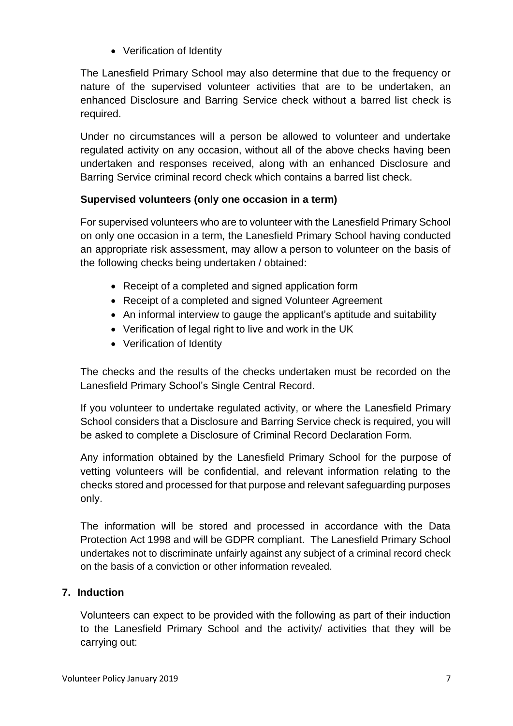• Verification of Identity

The Lanesfield Primary School may also determine that due to the frequency or nature of the supervised volunteer activities that are to be undertaken, an enhanced Disclosure and Barring Service check without a barred list check is required.

Under no circumstances will a person be allowed to volunteer and undertake regulated activity on any occasion, without all of the above checks having been undertaken and responses received, along with an enhanced Disclosure and Barring Service criminal record check which contains a barred list check.

# **Supervised volunteers (only one occasion in a term)**

For supervised volunteers who are to volunteer with the Lanesfield Primary School on only one occasion in a term, the Lanesfield Primary School having conducted an appropriate risk assessment, may allow a person to volunteer on the basis of the following checks being undertaken / obtained:

- Receipt of a completed and signed application form
- Receipt of a completed and signed Volunteer Agreement
- An informal interview to gauge the applicant's aptitude and suitability
- Verification of legal right to live and work in the UK
- Verification of Identity

The checks and the results of the checks undertaken must be recorded on the Lanesfield Primary School's Single Central Record.

If you volunteer to undertake regulated activity, or where the Lanesfield Primary School considers that a Disclosure and Barring Service check is required, you will be asked to complete a Disclosure of Criminal Record Declaration Form.

Any information obtained by the Lanesfield Primary School for the purpose of vetting volunteers will be confidential, and relevant information relating to the checks stored and processed for that purpose and relevant safeguarding purposes only.

The information will be stored and processed in accordance with the Data Protection Act 1998 and will be GDPR compliant. The Lanesfield Primary School undertakes not to discriminate unfairly against any subject of a criminal record check on the basis of a conviction or other information revealed.

# **7. Induction**

Volunteers can expect to be provided with the following as part of their induction to the Lanesfield Primary School and the activity/ activities that they will be carrying out: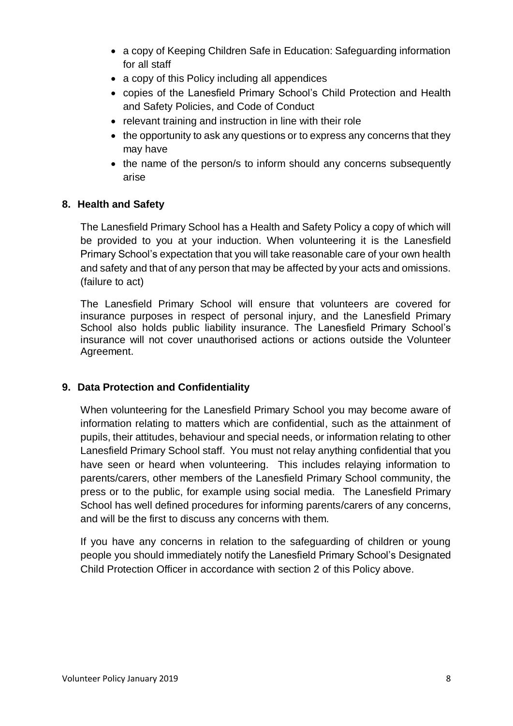- a copy of Keeping Children Safe in Education: Safeguarding information for all staff
- a copy of this Policy including all appendices
- copies of the Lanesfield Primary School's Child Protection and Health and Safety Policies, and Code of Conduct
- relevant training and instruction in line with their role
- the opportunity to ask any questions or to express any concerns that they may have
- the name of the person/s to inform should any concerns subsequently arise

# **8. Health and Safety**

The Lanesfield Primary School has a Health and Safety Policy a copy of which will be provided to you at your induction. When volunteering it is the Lanesfield Primary School's expectation that you will take reasonable care of your own health and safety and that of any person that may be affected by your acts and omissions. (failure to act)

The Lanesfield Primary School will ensure that volunteers are covered for insurance purposes in respect of personal injury, and the Lanesfield Primary School also holds public liability insurance. The Lanesfield Primary School's insurance will not cover unauthorised actions or actions outside the Volunteer Agreement.

# **9. Data Protection and Confidentiality**

When volunteering for the Lanesfield Primary School you may become aware of information relating to matters which are confidential, such as the attainment of pupils, their attitudes, behaviour and special needs, or information relating to other Lanesfield Primary School staff. You must not relay anything confidential that you have seen or heard when volunteering. This includes relaying information to parents/carers, other members of the Lanesfield Primary School community, the press or to the public, for example using social media. The Lanesfield Primary School has well defined procedures for informing parents/carers of any concerns, and will be the first to discuss any concerns with them.

If you have any concerns in relation to the safeguarding of children or young people you should immediately notify the Lanesfield Primary School's Designated Child Protection Officer in accordance with section 2 of this Policy above.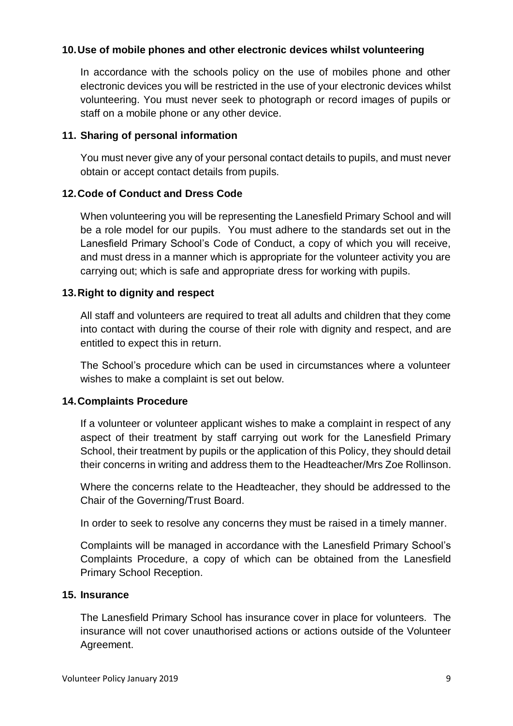# **10.Use of mobile phones and other electronic devices whilst volunteering**

In accordance with the schools policy on the use of mobiles phone and other electronic devices you will be restricted in the use of your electronic devices whilst volunteering. You must never seek to photograph or record images of pupils or staff on a mobile phone or any other device.

# **11. Sharing of personal information**

You must never give any of your personal contact details to pupils, and must never obtain or accept contact details from pupils.

# **12.Code of Conduct and Dress Code**

When volunteering you will be representing the Lanesfield Primary School and will be a role model for our pupils. You must adhere to the standards set out in the Lanesfield Primary School's Code of Conduct, a copy of which you will receive, and must dress in a manner which is appropriate for the volunteer activity you are carrying out; which is safe and appropriate dress for working with pupils.

# **13.Right to dignity and respect**

All staff and volunteers are required to treat all adults and children that they come into contact with during the course of their role with dignity and respect, and are entitled to expect this in return.

The School's procedure which can be used in circumstances where a volunteer wishes to make a complaint is set out below.

## **14.Complaints Procedure**

If a volunteer or volunteer applicant wishes to make a complaint in respect of any aspect of their treatment by staff carrying out work for the Lanesfield Primary School, their treatment by pupils or the application of this Policy, they should detail their concerns in writing and address them to the Headteacher/Mrs Zoe Rollinson.

Where the concerns relate to the Headteacher, they should be addressed to the Chair of the Governing/Trust Board.

In order to seek to resolve any concerns they must be raised in a timely manner.

Complaints will be managed in accordance with the Lanesfield Primary School's Complaints Procedure, a copy of which can be obtained from the Lanesfield Primary School Reception.

## **15. Insurance**

The Lanesfield Primary School has insurance cover in place for volunteers. The insurance will not cover unauthorised actions or actions outside of the Volunteer Agreement.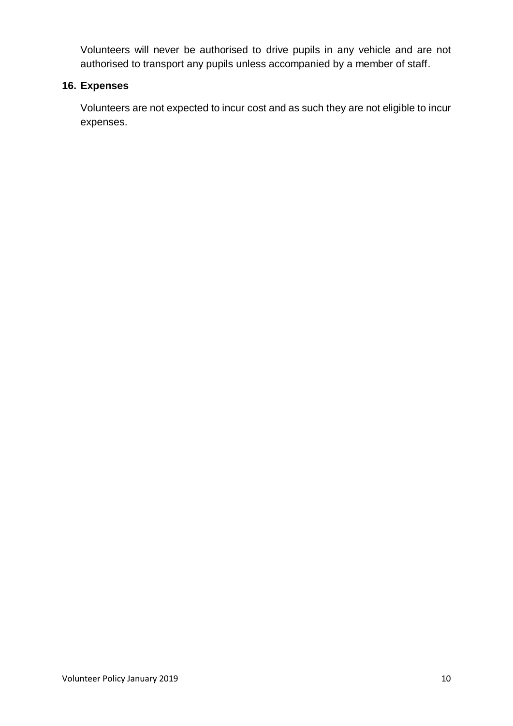Volunteers will never be authorised to drive pupils in any vehicle and are not authorised to transport any pupils unless accompanied by a member of staff.

# **16. Expenses**

Volunteers are not expected to incur cost and as such they are not eligible to incur expenses.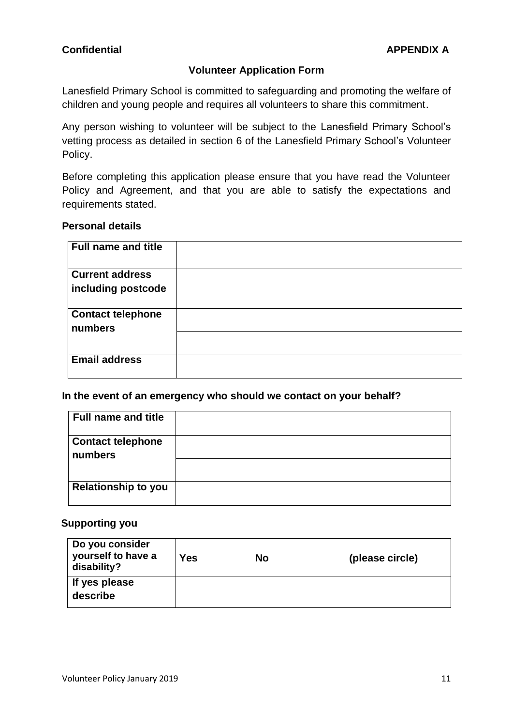# **Volunteer Application Form**

Lanesfield Primary School is committed to safeguarding and promoting the welfare of children and young people and requires all volunteers to share this commitment.

Any person wishing to volunteer will be subject to the Lanesfield Primary School's vetting process as detailed in section 6 of the Lanesfield Primary School's Volunteer Policy.

Before completing this application please ensure that you have read the Volunteer Policy and Agreement, and that you are able to satisfy the expectations and requirements stated.

# **Personal details**

| <b>Full name and title</b>                   |  |
|----------------------------------------------|--|
| <b>Current address</b><br>including postcode |  |
| <b>Contact telephone</b><br>numbers          |  |
| <b>Email address</b>                         |  |

**In the event of an emergency who should we contact on your behalf?**

| <b>Full name and title</b> |  |
|----------------------------|--|
| <b>Contact telephone</b>   |  |
| numbers                    |  |
|                            |  |
|                            |  |
| <b>Relationship to you</b> |  |
|                            |  |

#### **Supporting you**

| Do you consider<br>yourself to have a<br>disability? | Yes | No | (please circle) |
|------------------------------------------------------|-----|----|-----------------|
| If yes please<br>describe                            |     |    |                 |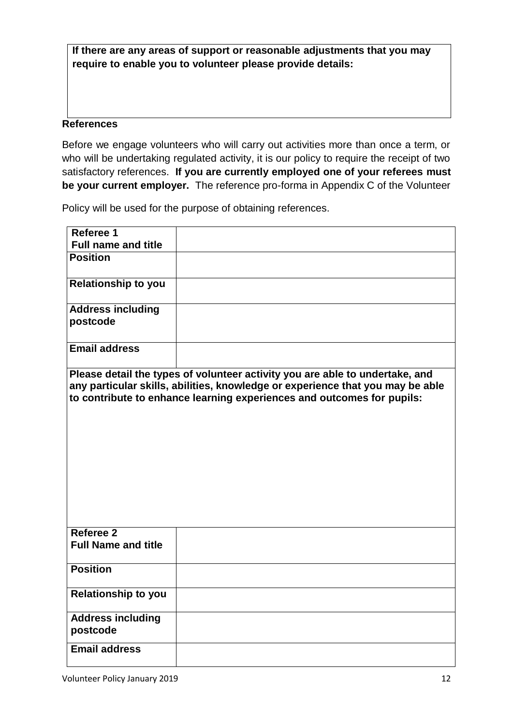**If there are any areas of support or reasonable adjustments that you may require to enable you to volunteer please provide details:**

#### **References**

Before we engage volunteers who will carry out activities more than once a term, or who will be undertaking regulated activity, it is our policy to require the receipt of two satisfactory references. **If you are currently employed one of your referees must be your current employer.** The reference pro-forma in Appendix C of the Volunteer

Policy will be used for the purpose of obtaining references.

| Referee 1                               |                                                                                                                                                                                                                                          |
|-----------------------------------------|------------------------------------------------------------------------------------------------------------------------------------------------------------------------------------------------------------------------------------------|
| <b>Full name and title</b>              |                                                                                                                                                                                                                                          |
| <b>Position</b>                         |                                                                                                                                                                                                                                          |
| <b>Relationship to you</b>              |                                                                                                                                                                                                                                          |
| <b>Address including</b><br>postcode    |                                                                                                                                                                                                                                          |
| <b>Email address</b>                    |                                                                                                                                                                                                                                          |
|                                         | Please detail the types of volunteer activity you are able to undertake, and<br>any particular skills, abilities, knowledge or experience that you may be able<br>to contribute to enhance learning experiences and outcomes for pupils: |
| Referee 2<br><b>Full Name and title</b> |                                                                                                                                                                                                                                          |
| <b>Position</b>                         |                                                                                                                                                                                                                                          |
| <b>Relationship to you</b>              |                                                                                                                                                                                                                                          |
| <b>Address including</b><br>postcode    |                                                                                                                                                                                                                                          |
| <b>Email address</b>                    |                                                                                                                                                                                                                                          |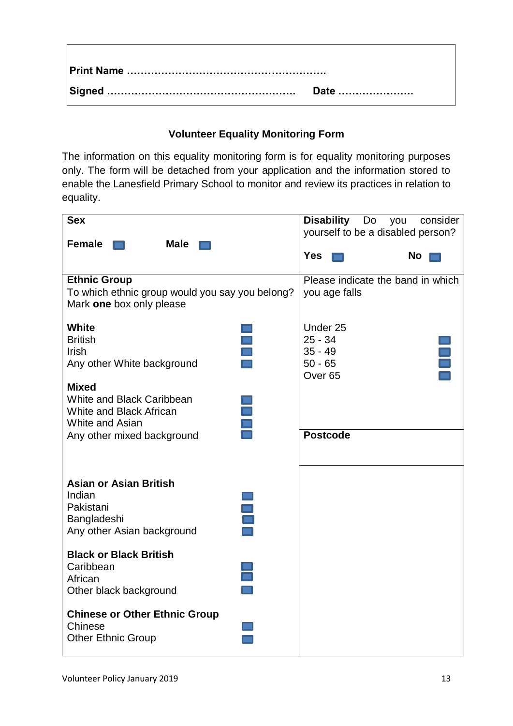| Date |
|------|

# **Volunteer Equality Monitoring Form**

The information on this equality monitoring form is for equality monitoring purposes only. The form will be detached from your application and the information stored to enable the Lanesfield Primary School to monitor and review its practices in relation to equality.

| <b>Sex</b>                                      | <b>Disability</b><br>Do<br>consider<br>you |
|-------------------------------------------------|--------------------------------------------|
|                                                 | yourself to be a disabled person?          |
| <b>Female</b><br><b>Male</b>                    |                                            |
|                                                 | <b>Yes</b><br>No                           |
| <b>Ethnic Group</b>                             | Please indicate the band in which          |
| To which ethnic group would you say you belong? | you age falls                              |
| Mark one box only please                        |                                            |
| <b>White</b>                                    | Under 25                                   |
| <b>British</b>                                  | $25 - 34$                                  |
| <b>Irish</b>                                    | $35 - 49$                                  |
| Any other White background                      | $50 - 65$                                  |
|                                                 | Over <sub>65</sub>                         |
| <b>Mixed</b>                                    |                                            |
| White and Black Caribbean                       |                                            |
| $\equiv$<br>White and Black African             |                                            |
| White and Asian                                 |                                            |
| Any other mixed background                      | <b>Postcode</b>                            |
|                                                 |                                            |
|                                                 |                                            |
|                                                 |                                            |
| <b>Asian or Asian British</b>                   |                                            |
| Indian                                          |                                            |
| Pakistani                                       |                                            |
| Bangladeshi                                     |                                            |
| Any other Asian background                      |                                            |
| <b>Black or Black British</b>                   |                                            |
| Caribbean                                       |                                            |
| African                                         |                                            |
| Other black background                          |                                            |
| <b>Chinese or Other Ethnic Group</b>            |                                            |
| Chinese                                         |                                            |
| <b>Other Ethnic Group</b>                       |                                            |
|                                                 |                                            |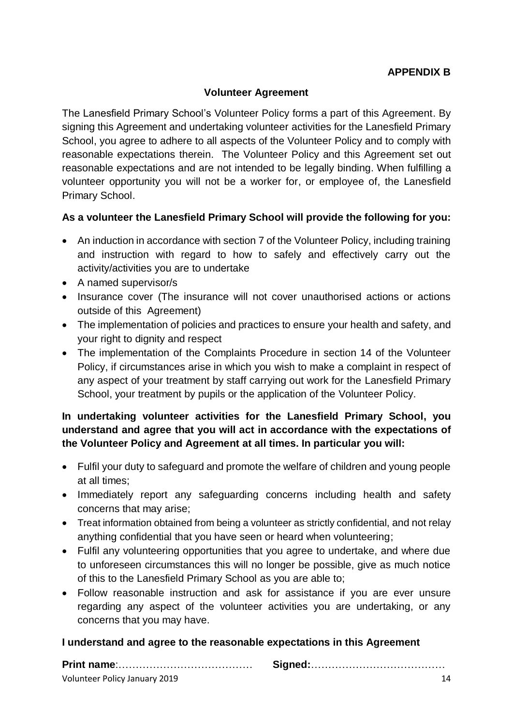# **Volunteer Agreement**

The Lanesfield Primary School's Volunteer Policy forms a part of this Agreement. By signing this Agreement and undertaking volunteer activities for the Lanesfield Primary School, you agree to adhere to all aspects of the Volunteer Policy and to comply with reasonable expectations therein. The Volunteer Policy and this Agreement set out reasonable expectations and are not intended to be legally binding. When fulfilling a volunteer opportunity you will not be a worker for, or employee of, the Lanesfield Primary School.

# **As a volunteer the Lanesfield Primary School will provide the following for you:**

- An induction in accordance with section 7 of the Volunteer Policy, including training and instruction with regard to how to safely and effectively carry out the activity/activities you are to undertake
- A named supervisor/s
- Insurance cover (The insurance will not cover unauthorised actions or actions outside of this Agreement)
- The implementation of policies and practices to ensure your health and safety, and your right to dignity and respect
- The implementation of the Complaints Procedure in section 14 of the Volunteer Policy, if circumstances arise in which you wish to make a complaint in respect of any aspect of your treatment by staff carrying out work for the Lanesfield Primary School, your treatment by pupils or the application of the Volunteer Policy.

# **In undertaking volunteer activities for the Lanesfield Primary School, you understand and agree that you will act in accordance with the expectations of the Volunteer Policy and Agreement at all times. In particular you will:**

- Fulfil your duty to safeguard and promote the welfare of children and young people at all times;
- Immediately report any safeguarding concerns including health and safety concerns that may arise;
- Treat information obtained from being a volunteer as strictly confidential, and not relay anything confidential that you have seen or heard when volunteering;
- Fulfil any volunteering opportunities that you agree to undertake, and where due to unforeseen circumstances this will no longer be possible, give as much notice of this to the Lanesfield Primary School as you are able to;
- Follow reasonable instruction and ask for assistance if you are ever unsure regarding any aspect of the volunteer activities you are undertaking, or any concerns that you may have.

## **I understand and agree to the reasonable expectations in this Agreement**

| Volunteer Policy January 2019 |  |  |
|-------------------------------|--|--|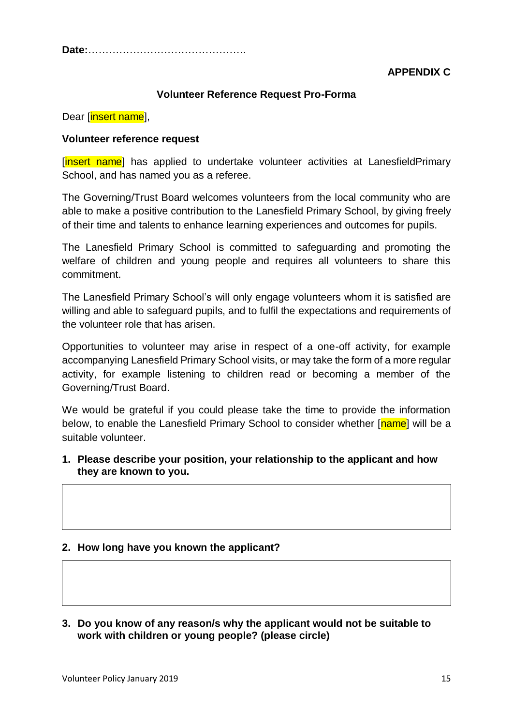**Date:**……………………………………….

**APPENDIX C**

## **Volunteer Reference Request Pro-Forma**

Dear [insert name],

#### **Volunteer reference request**

[insert name] has applied to undertake volunteer activities at LanesfieldPrimary School, and has named you as a referee.

The Governing/Trust Board welcomes volunteers from the local community who are able to make a positive contribution to the Lanesfield Primary School, by giving freely of their time and talents to enhance learning experiences and outcomes for pupils.

The Lanesfield Primary School is committed to safeguarding and promoting the welfare of children and young people and requires all volunteers to share this commitment.

The Lanesfield Primary School's will only engage volunteers whom it is satisfied are willing and able to safeguard pupils, and to fulfil the expectations and requirements of the volunteer role that has arisen.

Opportunities to volunteer may arise in respect of a one-off activity, for example accompanying Lanesfield Primary School visits, or may take the form of a more regular activity, for example listening to children read or becoming a member of the Governing/Trust Board.

We would be grateful if you could please take the time to provide the information below, to enable the Lanesfield Primary School to consider whether [name] will be a suitable volunteer.

**1. Please describe your position, your relationship to the applicant and how they are known to you.**

## **2. How long have you known the applicant?**

**3. Do you know of any reason/s why the applicant would not be suitable to work with children or young people? (please circle)**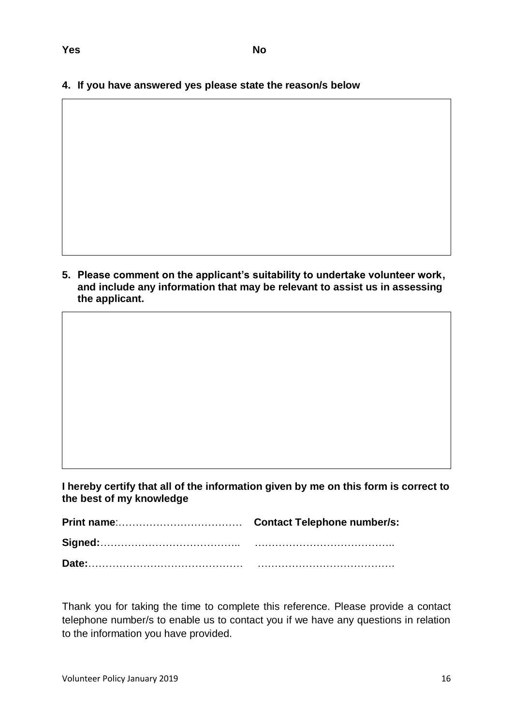**4. If you have answered yes please state the reason/s below**

**5. Please comment on the applicant's suitability to undertake volunteer work, and include any information that may be relevant to assist us in assessing the applicant.**

**I hereby certify that all of the information given by me on this form is correct to the best of my knowledge** 

Thank you for taking the time to complete this reference. Please provide a contact telephone number/s to enable us to contact you if we have any questions in relation to the information you have provided.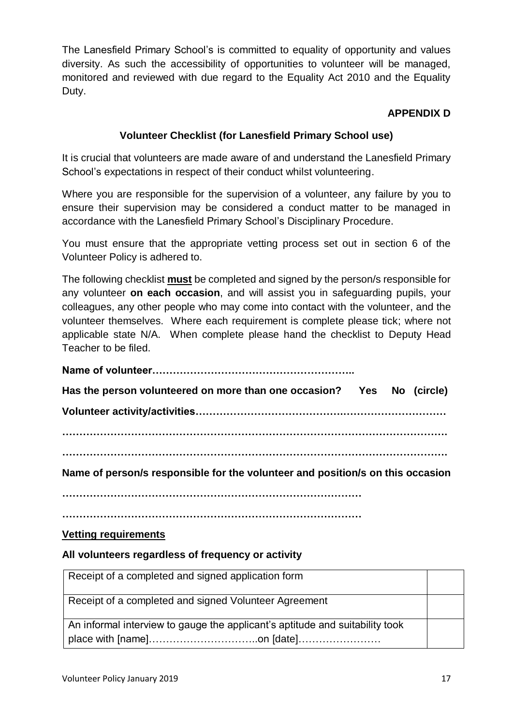The Lanesfield Primary School's is committed to equality of opportunity and values diversity. As such the accessibility of opportunities to volunteer will be managed, monitored and reviewed with due regard to the Equality Act 2010 and the Equality Duty.

# **APPENDIX D**

# **Volunteer Checklist (for Lanesfield Primary School use)**

It is crucial that volunteers are made aware of and understand the Lanesfield Primary School's expectations in respect of their conduct whilst volunteering.

Where you are responsible for the supervision of a volunteer, any failure by you to ensure their supervision may be considered a conduct matter to be managed in accordance with the Lanesfield Primary School's Disciplinary Procedure.

You must ensure that the appropriate vetting process set out in section 6 of the Volunteer Policy is adhered to.

The following checklist **must** be completed and signed by the person/s responsible for any volunteer **on each occasion**, and will assist you in safeguarding pupils, your colleagues, any other people who may come into contact with the volunteer, and the volunteer themselves. Where each requirement is complete please tick; where not applicable state N/A. When complete please hand the checklist to Deputy Head Teacher to be filed.

**Name of volunteer………………………………………………….. Has the person volunteered on more than one occasion? Yes No (circle) Volunteer activity/activities…………………………………….………………………… …………………………………………………………………………………………………. …………………………………………………………………………………………………. Name of person/s responsible for the volunteer and position/s on this occasion ……………………………………………………………………………**

**……………………………………………………………………………**

## **Vetting requirements**

## **All volunteers regardless of frequency or activity**

| Receipt of a completed and signed application form                           |  |
|------------------------------------------------------------------------------|--|
| Receipt of a completed and signed Volunteer Agreement                        |  |
| An informal interview to gauge the applicant's aptitude and suitability took |  |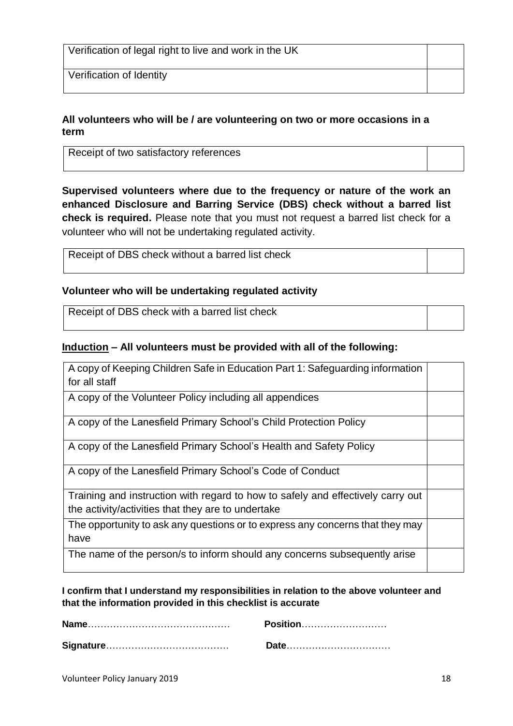Verification of legal right to live and work in the UK

Verification of Identity

## **All volunteers who will be / are volunteering on two or more occasions in a term**

Receipt of two satisfactory references

**Supervised volunteers where due to the frequency or nature of the work an enhanced Disclosure and Barring Service (DBS) check without a barred list check is required.** Please note that you must not request a barred list check for a volunteer who will not be undertaking regulated activity.

| Receipt of DBS check without a barred list check |  |
|--------------------------------------------------|--|
|                                                  |  |

# **Volunteer who will be undertaking regulated activity**

Receipt of DBS check with a barred list check

# **Induction – All volunteers must be provided with all of the following:**

| A copy of Keeping Children Safe in Education Part 1: Safeguarding information<br>for all staff                                        |  |
|---------------------------------------------------------------------------------------------------------------------------------------|--|
| A copy of the Volunteer Policy including all appendices                                                                               |  |
| A copy of the Lanesfield Primary School's Child Protection Policy                                                                     |  |
| A copy of the Lanesfield Primary School's Health and Safety Policy                                                                    |  |
| A copy of the Lanesfield Primary School's Code of Conduct                                                                             |  |
| Training and instruction with regard to how to safely and effectively carry out<br>the activity/activities that they are to undertake |  |
| The opportunity to ask any questions or to express any concerns that they may<br>have                                                 |  |
| The name of the person/s to inform should any concerns subsequently arise                                                             |  |

**I confirm that I understand my responsibilities in relation to the above volunteer and that the information provided in this checklist is accurate** 

| Position……………………… |
|-------------------|
|                   |